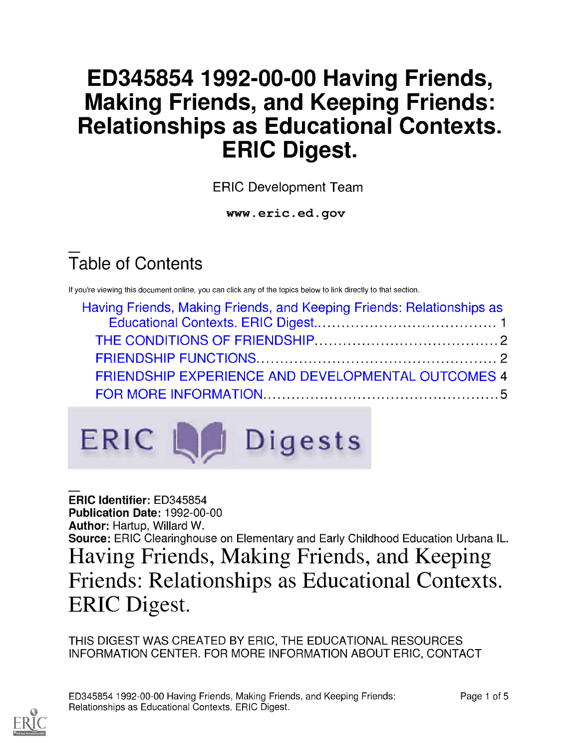# ED345854 1992-00-00 Having Friends, Making Friends, and Keeping Friends: Relationships as Educational Contexts. ERIC Digest.

ERIC Development Team

www.eric.ed.gov

# Table of Contents

If you're viewing this document online, you can click any of the topics below to link directly to that section.

| Having Friends, Making Friends, and Keeping Friends: Relationships as |  |
|-----------------------------------------------------------------------|--|
|                                                                       |  |
|                                                                       |  |
|                                                                       |  |
| FRIENDSHIP EXPERIENCE AND DEVELOPMENTAL OUTCOMES 4                    |  |
|                                                                       |  |



ERIC Identifier: ED345854 Publication Date: 1992-00-00 Author: Hartup, Willard W. Source: ERIC Clearinghouse on Elementary and Early Childhood Education Urbana IL. Having Friends, Making Friends, and Keeping Friends: Relationships as Educational Contexts. ERIC Digest.

THIS DIGEST WAS CREATED BY ERIC, THE EDUCATIONAL RESOURCES INFORMATION CENTER. FOR MORE INFORMATION ABOUT ERIC, CONTACT

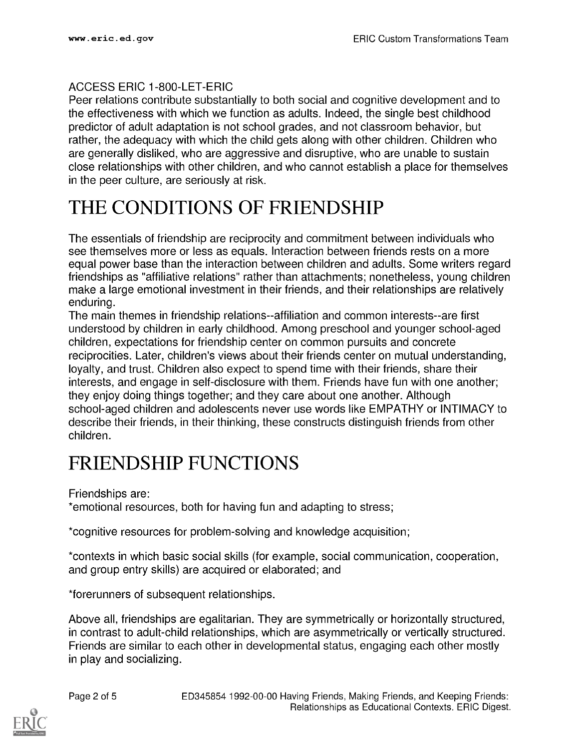#### ACCESS ERIC 1-800-LET-ERIC

Peer relations contribute substantially to both social and cognitive development and to the effectiveness with which we function as adults. Indeed, the single best childhood predictor of adult adaptation is not school grades, and not classroom behavior, but rather, the adequacy with which the child gets along with other children. Children who are generally disliked, who are aggressive and disruptive, who are unable to sustain close relationships with other children, and who cannot establish a place for themselves in the peer culture, are seriously at risk.

### THE CONDITIONS OF FRIENDSHIP

The essentials of friendship are reciprocity and commitment between individuals who see themselves more or less as equals. Interaction between friends rests on a more equal power base than the interaction between children and adults. Some writers regard friendships as "affiliative relations" rather than attachments; nonetheless, young children make a large emotional investment in their friends, and their relationships are relatively enduring.

The main themes in friendship relations--affiliation and common interests--are first understood by children in early childhood. Among preschool and younger school-aged children, expectations for friendship center on common pursuits and concrete reciprocities. Later, children's views about their friends center on mutual understanding, loyalty, and trust. Children also expect to spend time with their friends, share their interests, and engage in self-disclosure with them. Friends have fun with one another; they enjoy doing things together; and they care about one another. Although school-aged children and adolescents never use words like EMPATHY or INTIMACY to describe their friends, in their thinking, these constructs distinguish friends from other children.

### FRIENDSHIP FUNCTIONS

Friendships are:

\*emotional resources, both for having fun and adapting to stress;

\*cognitive resources for problem-solving and knowledge acquisition;

\*contexts in which basic social skills (for example, social communication, cooperation, and group entry skills) are acquired or elaborated; and

\*forerunners of subsequent relationships.

Above all, friendships are egalitarian. They are symmetrically or horizontally structured, in contrast to adult-child relationships, which are asymmetrically or vertically structured. Friends are similar to each other in developmental status, engaging each other mostly in play and socializing.

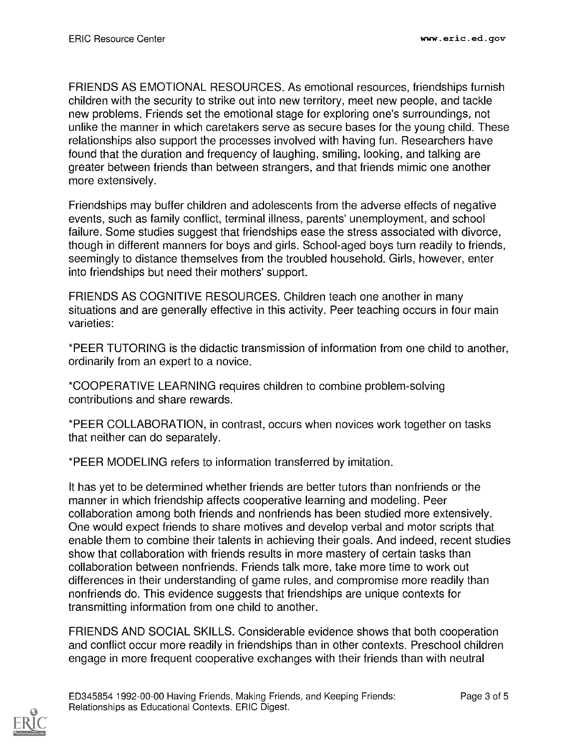FRIENDS AS EMOTIONAL RESOURCES. As emotional resources, friendships furnish children with the security to strike out into new territory, meet new people, and tackle new problems. Friends set the emotional stage for exploring one's surroundings, not unlike the manner in which caretakers serve as secure bases for the young child. These relationships also support the processes involved with having fun. Researchers have found that the duration and frequency of laughing, smiling, looking, and talking are greater between friends than between strangers, and that friends mimic one another more extensively.

Friendships may buffer children and adolescents from the adverse effects of negative events, such as family conflict, terminal illness, parents' unemployment, and school failure. Some studies suggest that friendships ease the stress associated with divorce, though in different manners for boys and girls. School-aged boys turn readily to friends, seemingly to distance themselves from the troubled household. Girls, however, enter into friendships but need their mothers' support.

FRIENDS AS COGNITIVE RESOURCES. Children teach one another in many situations and are generally effective in this activity. Peer teaching occurs in four main varieties:

\*PEER TUTORING is the didactic transmission of information from one child to another, ordinarily from an expert to a novice.

\*COOPERATIVE LEARNING requires children to combine problem-solving contributions and share rewards.

\*PEER COLLABORATION, in contrast, occurs when novices work together on tasks that neither can do separately.

\*PEER MODELING refers to information transferred by imitation.

It has yet to be determined whether friends are better tutors than nonfriends or the manner in which friendship affects cooperative learning and modeling. Peer collaboration among both friends and nonfriends has been studied more extensively. One would expect friends to share motives and develop verbal and motor scripts that enable them to combine their talents in achieving their goals. And indeed, recent studies show that collaboration with friends results in more mastery of certain tasks than collaboration between nonfriends. Friends talk more, take more time to work out differences in their understanding of game rules, and compromise more readily than nonfriends do. This evidence suggests that friendships are unique contexts for transmitting information from one child to another.

FRIENDS AND SOCIAL SKILLS. Considerable evidence shows that both cooperation and conflict occur more readily in friendships than in other contexts. Preschool children engage in more frequent cooperative exchanges with their friends than with neutral

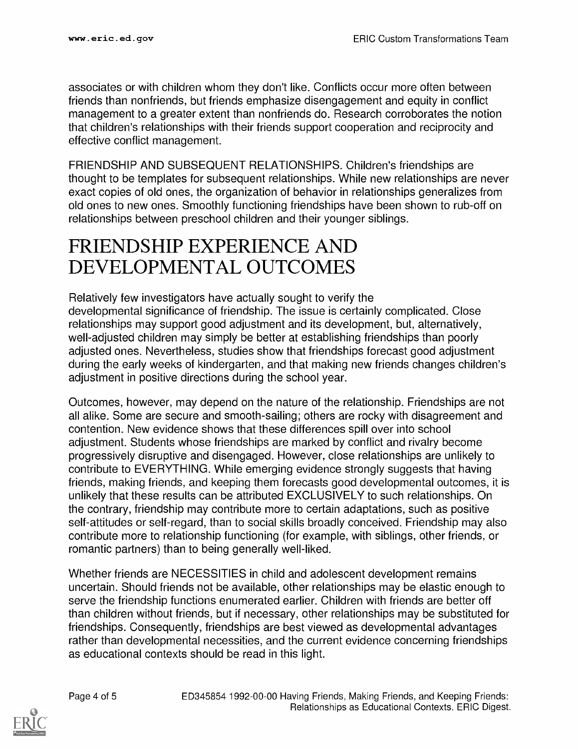associates or with children whom they don't like. Conflicts occur more often between friends than nonfriends, but friends emphasize disengagement and equity in conflict management to a greater extent than nonfriends do. Research corroborates the notion that children's relationships with their friends support cooperation and reciprocity and effective conflict management.

FRIENDSHIP AND SUBSEQUENT RELATIONSHIPS. Children's friendships are thought to be templates for subsequent relationships. While new relationships are never exact copies of old ones, the organization of behavior in relationships generalizes from old ones to new ones. Smoothly functioning friendships have been shown to rub-off on relationships between preschool children and their younger siblings.

#### FRIENDSHIP EXPERIENCE AND DEVELOPMENTAL OUTCOMES

Relatively few investigators have actually sought to verify the developmental significance of friendship. The issue is certainly complicated. Close relationships may support good adjustment and its development, but, alternatively, well-adjusted children may simply be better at establishing friendships than poorly adjusted ones. Nevertheless, studies show that friendships forecast good adjustment during the early weeks of kindergarten, and that making new friends changes children's adjustment in positive directions during the school year.

Outcomes, however, may depend on the nature of the relationship. Friendships are not all alike. Some are secure and smooth-sailing; others are rocky with disagreement and contention. New evidence shows that these differences spill over into school adjustment. Students whose friendships are marked by conflict and rivalry become progressively disruptive and disengaged. However, close relationships are unlikely to contribute to EVERYTHING. While emerging evidence strongly suggests that having friends, making friends, and keeping them forecasts good developmental outcomes, it is unlikely that these results can be attributed EXCLUSIVELY to such relationships. On the contrary, friendship may contribute more to certain adaptations, such as positive self-attitudes or self-regard, than to social skills broadly conceived. Friendship may also contribute more to relationship functioning (for example, with siblings, other friends, or romantic partners) than to being generally well-liked.

Whether friends are NECESSITIES in child and adolescent development remains uncertain. Should friends not be available, other relationships may be elastic enough to serve the friendship functions enumerated earlier. Children with friends are better off than children without friends, but if necessary, other relationships may be substituted for friendships. Consequently, friendships are best viewed as developmental advantages rather than developmental necessities, and the current evidence concerning friendships as educational contexts should be read in this light.